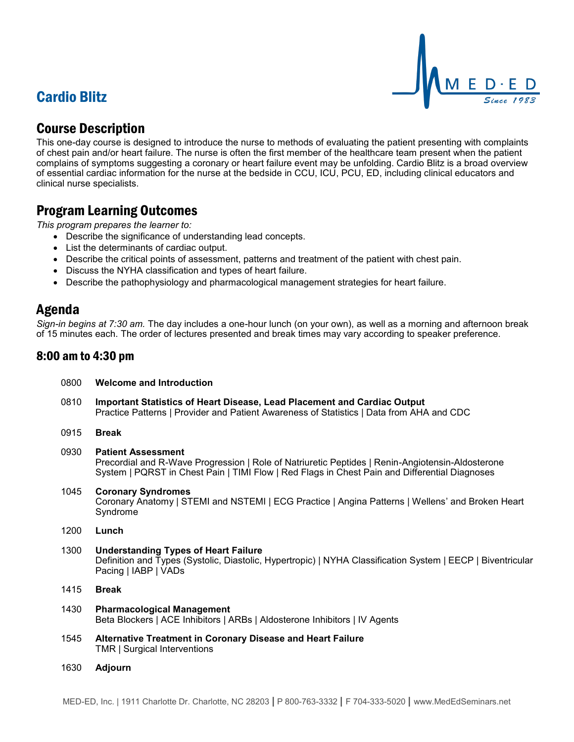# Cardio Blitz



## Course Description

This one-day course is designed to introduce the nurse to methods of evaluating the patient presenting with complaints of chest pain and/or heart failure. The nurse is often the first member of the healthcare team present when the patient complains of symptoms suggesting a coronary or heart failure event may be unfolding. Cardio Blitz is a broad overview of essential cardiac information for the nurse at the bedside in CCU, ICU, PCU, ED, including clinical educators and clinical nurse specialists.

## Program Learning Outcomes

*This program prepares the learner to:*

- Describe the significance of understanding lead concepts.
- List the determinants of cardiac output.

0800 **Welcome and Introduction**

- Describe the critical points of assessment, patterns and treatment of the patient with chest pain.
- Discuss the NYHA classification and types of heart failure.
- Describe the pathophysiology and pharmacological management strategies for heart failure.

### Agenda

*Sign-in begins at 7:30 am.* The day includes a one-hour lunch (on your own), as well as a morning and afternoon break of 15 minutes each. The order of lectures presented and break times may vary according to speaker preference.

### 8:00 am to 4:30 pm

| 0810 | Important Statistics of Heart Disease, Lead Placement and Cardiac Output<br>Practice Patterns   Provider and Patient Awareness of Statistics   Data from AHA and CDC                                                           |
|------|--------------------------------------------------------------------------------------------------------------------------------------------------------------------------------------------------------------------------------|
| 0915 | <b>Break</b>                                                                                                                                                                                                                   |
| 0930 | <b>Patient Assessment</b><br>Precordial and R-Wave Progression   Role of Natriuretic Peptides   Renin-Angiotensin-Aldosterone<br>System   PQRST in Chest Pain   TIMI Flow   Red Flags in Chest Pain and Differential Diagnoses |
| 1045 | <b>Coronary Syndromes</b><br>Coronary Anatomy   STEMI and NSTEMI   ECG Practice   Angina Patterns   Wellens' and Broken Heart<br>Syndrome                                                                                      |
| 1200 | Lunch                                                                                                                                                                                                                          |
| 1300 | <b>Understanding Types of Heart Failure</b><br>Definition and Types (Systolic, Diastolic, Hypertropic)   NYHA Classification System   EECP   Biventricular<br>Pacing   IABP   VADs                                             |
| 1415 | <b>Break</b>                                                                                                                                                                                                                   |
| 1430 | <b>Pharmacological Management</b><br>Beta Blockers   ACE Inhibitors   ARBs   Aldosterone Inhibitors   IV Agents                                                                                                                |
| 1545 | Alternative Treatment in Coronary Disease and Heart Failure<br>TMR   Surgical Interventions                                                                                                                                    |
|      |                                                                                                                                                                                                                                |

1630 **Adjourn**